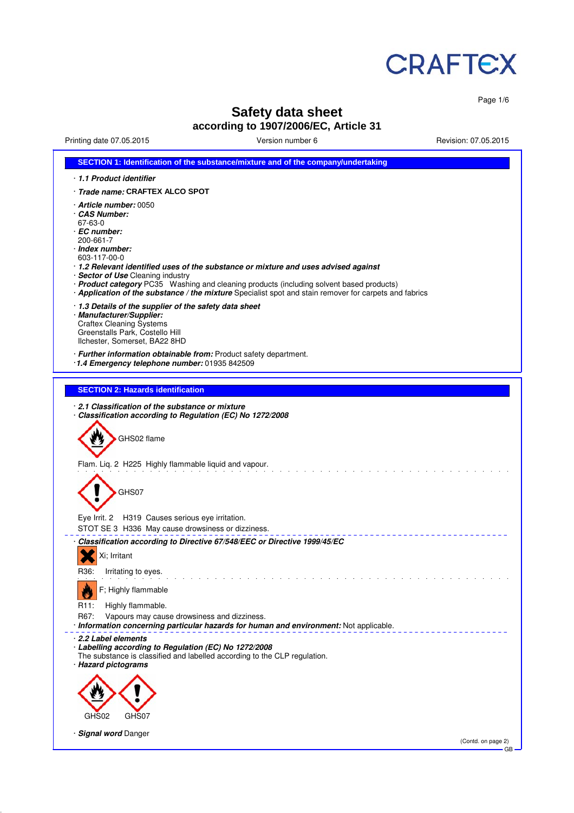

Page 1/6

# **Safety data sheet**

## **according to 1907/2006/EC, Article 31**

Printing date 07.05.2015 Version number 6 Revision: 07.05.2015

| SECTION 1: Identification of the substance/mixture and of the company/undertaking                                                                                                                                                                                                                                                                                                                                                                  |
|----------------------------------------------------------------------------------------------------------------------------------------------------------------------------------------------------------------------------------------------------------------------------------------------------------------------------------------------------------------------------------------------------------------------------------------------------|
| 1.1 Product identifier                                                                                                                                                                                                                                                                                                                                                                                                                             |
| · Trade name: CRAFTEX ALCO SPOT                                                                                                                                                                                                                                                                                                                                                                                                                    |
| · Article number: 0050<br>CAS Number:<br>67-63-0<br>· EC number:<br>200-661-7<br>· Index number:<br>603-117-00-0<br>· 1.2 Relevant identified uses of the substance or mixture and uses advised against<br>· Sector of Use Cleaning industry<br>· Product category PC35 Washing and cleaning products (including solvent based products)<br>· Application of the substance / the mixture Specialist spot and stain remover for carpets and fabrics |
| 1.3 Details of the supplier of the safety data sheet<br>· Manufacturer/Supplier:<br><b>Craftex Cleaning Systems</b><br>Greenstalls Park, Costello Hill<br>Ilchester, Somerset, BA22 8HD                                                                                                                                                                                                                                                            |
| · Further information obtainable from: Product safety department.<br>1.4 Emergency telephone number: 01935 842509                                                                                                                                                                                                                                                                                                                                  |
| <b>SECTION 2: Hazards identification</b>                                                                                                                                                                                                                                                                                                                                                                                                           |
| 2.1 Classification of the substance or mixture<br>· Classification according to Regulation (EC) No 1272/2008<br>GHS02 flame<br>Flam. Liq. 2 H225 Highly flammable liquid and vapour.<br>GHS07                                                                                                                                                                                                                                                      |
| Eye Irrit. 2 H319 Causes serious eye irritation.<br>STOT SE 3 H336 May cause drowsiness or dizziness.                                                                                                                                                                                                                                                                                                                                              |
| · Classification according to Directive 67/548/EEC or Directive 1999/45/EC<br>Xi; Irritant                                                                                                                                                                                                                                                                                                                                                         |
| R36:<br>Irritating to eyes.<br>F; Highly flammable<br>R <sub>11</sub> :<br>Highly flammable.                                                                                                                                                                                                                                                                                                                                                       |
| R67:<br>Vapours may cause drowsiness and dizziness.<br>· Information concerning particular hazards for human and environment: Not applicable.                                                                                                                                                                                                                                                                                                      |
| 2.2 Label elements<br>· Labelling according to Regulation (EC) No 1272/2008<br>The substance is classified and labelled according to the CLP regulation.<br>· Hazard pictograms                                                                                                                                                                                                                                                                    |
|                                                                                                                                                                                                                                                                                                                                                                                                                                                    |
| GHS02<br>GHS07                                                                                                                                                                                                                                                                                                                                                                                                                                     |
| · Signal word Danger<br>(Contd. on page 2)<br>GB                                                                                                                                                                                                                                                                                                                                                                                                   |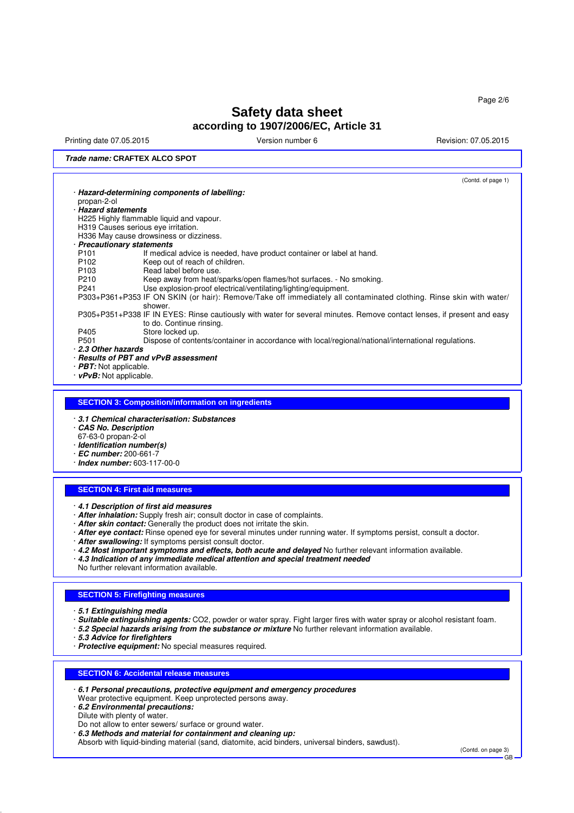Printing date 07.05.2015 **Version number 6** Newsley Revision: 07.05.2015

(Contd. on page 3)

GB

## **Trade name: CRAFTEX ALCO SPOT**

· **5.3 Advice for firefighters**

· **6.2 Environmental precautions:** Dilute with plenty of water.

· **Protective equipment:** No special measures required.

Do not allow to enter sewers/ surface or ground water. · **6.3 Methods and material for containment and cleaning up:**

Wear protective equipment. Keep unprotected persons away.

· **6.1 Personal precautions, protective equipment and emergency procedures**

Absorb with liquid-binding material (sand, diatomite, acid binders, universal binders, sawdust).

**SECTION 6: Accidental release measures**

| propan-2-ol                                                                                                       |                                                                                                                                                                                                                                     |
|-------------------------------------------------------------------------------------------------------------------|-------------------------------------------------------------------------------------------------------------------------------------------------------------------------------------------------------------------------------------|
|                                                                                                                   | Hazard-determining components of labelling:                                                                                                                                                                                         |
|                                                                                                                   |                                                                                                                                                                                                                                     |
| · Hazard statements                                                                                               |                                                                                                                                                                                                                                     |
|                                                                                                                   | H225 Highly flammable liquid and vapour.                                                                                                                                                                                            |
|                                                                                                                   | H319 Causes serious eye irritation.                                                                                                                                                                                                 |
|                                                                                                                   | H336 May cause drowsiness or dizziness.                                                                                                                                                                                             |
| · Precautionary statements                                                                                        |                                                                                                                                                                                                                                     |
| P <sub>101</sub>                                                                                                  |                                                                                                                                                                                                                                     |
|                                                                                                                   | If medical advice is needed, have product container or label at hand.                                                                                                                                                               |
| P <sub>102</sub>                                                                                                  | Keep out of reach of children.                                                                                                                                                                                                      |
| P <sub>103</sub>                                                                                                  | Read label before use.                                                                                                                                                                                                              |
| P210                                                                                                              | Keep away from heat/sparks/open flames/hot surfaces. - No smoking.                                                                                                                                                                  |
| P241                                                                                                              | Use explosion-proof electrical/ventilating/lighting/equipment.                                                                                                                                                                      |
|                                                                                                                   | P303+P361+P353 IF ON SKIN (or hair): Remove/Take off immediately all contaminated clothing. Rinse skin with water/                                                                                                                  |
|                                                                                                                   | shower.                                                                                                                                                                                                                             |
|                                                                                                                   | P305+P351+P338 IF IN EYES: Rinse cautiously with water for several minutes. Remove contact lenses, if present and easy                                                                                                              |
|                                                                                                                   | to do. Continue rinsing.                                                                                                                                                                                                            |
| P405                                                                                                              | Store locked up.                                                                                                                                                                                                                    |
| P <sub>501</sub>                                                                                                  | Dispose of contents/container in accordance with local/regional/national/international regulations.                                                                                                                                 |
| 2.3 Other hazards                                                                                                 |                                                                                                                                                                                                                                     |
|                                                                                                                   | · Results of PBT and vPvB assessment                                                                                                                                                                                                |
| $\cdot$ <i>PBT:</i> Not applicable.                                                                               |                                                                                                                                                                                                                                     |
| · vPvB: Not applicable.                                                                                           |                                                                                                                                                                                                                                     |
|                                                                                                                   |                                                                                                                                                                                                                                     |
| <b>CAS No. Description</b>                                                                                        | 3.1 Chemical characterisation: Substances                                                                                                                                                                                           |
| 67-63-0 propan-2-ol<br>· Identification number(s)<br>$\cdot$ EC number: 200-661-7<br>· Index number: 603-117-00-0 |                                                                                                                                                                                                                                     |
|                                                                                                                   | <b>SECTION 4: First aid measures</b>                                                                                                                                                                                                |
|                                                                                                                   |                                                                                                                                                                                                                                     |
|                                                                                                                   | 4.1 Description of first aid measures                                                                                                                                                                                               |
|                                                                                                                   | · After inhalation: Supply fresh air; consult doctor in case of complaints.                                                                                                                                                         |
|                                                                                                                   | · After skin contact: Generally the product does not irritate the skin.                                                                                                                                                             |
|                                                                                                                   | · After eye contact: Rinse opened eye for several minutes under running water. If symptoms persist, consult a doctor.                                                                                                               |
|                                                                                                                   | · After swallowing: If symptoms persist consult doctor.                                                                                                                                                                             |
|                                                                                                                   | 4.2 Most important symptoms and effects, both acute and delayed No further relevant information available.                                                                                                                          |
|                                                                                                                   | $\cdot$ 4.3 Indication of any immediate medical attention and special treatment needed                                                                                                                                              |
|                                                                                                                   | No further relevant information available.                                                                                                                                                                                          |
|                                                                                                                   |                                                                                                                                                                                                                                     |
|                                                                                                                   |                                                                                                                                                                                                                                     |
|                                                                                                                   | <b>SECTION 5: Firefighting measures</b>                                                                                                                                                                                             |
|                                                                                                                   |                                                                                                                                                                                                                                     |
| · 5.1 Extinguishing media                                                                                         |                                                                                                                                                                                                                                     |
|                                                                                                                   | Suitable extinguishing agents: CO2, powder or water spray. Fight larger fires with water spray or alcohol resistant foam.<br>· 5.2 Special hazards arising from the substance or mixture No further relevant information available. |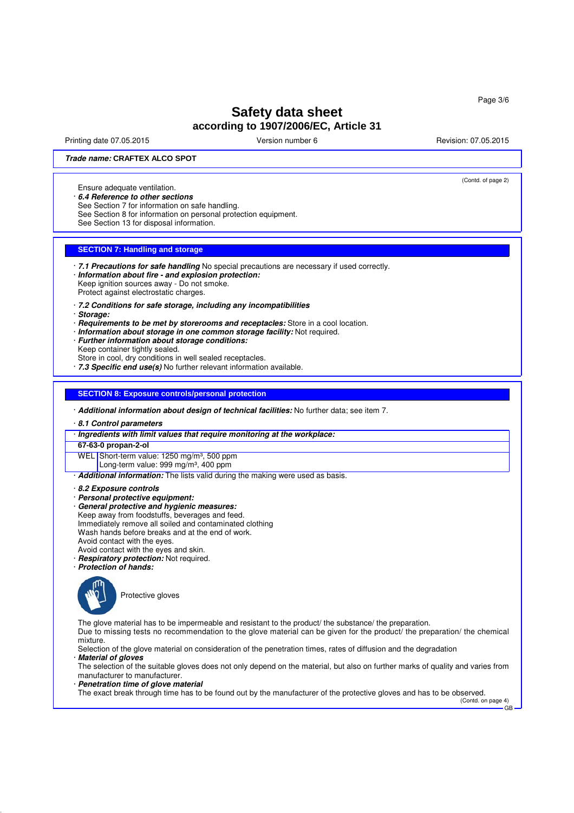Printing date 07.05.2015 **Principal and COVID-100** Version number 6 Revision: 07.05.2015

(Contd. of page 2)

#### **Trade name: CRAFTEX ALCO SPOT**

Ensure adequate ventilation.

· **6.4 Reference to other sections**

See Section 7 for information on safe handling.

See Section 8 for information on personal protection equipment.

See Section 13 for disposal information.

## **SECTION 7: Handling and storage**

· **7.1 Precautions for safe handling** No special precautions are necessary if used correctly.

· **Information about fire - and explosion protection:** Keep ignition sources away - Do not smoke.

Protect against electrostatic charges.

- · **7.2 Conditions for safe storage, including any incompatibilities**
- · **Storage:**
- · **Requirements to be met by storerooms and receptacles:** Store in a cool location.
- · **Information about storage in one common storage facility:** Not required.
- · **Further information about storage conditions:** Keep container tightly sealed.
- Store in cool, dry conditions in well sealed receptacles.

· **7.3 Specific end use(s)** No further relevant information available.

#### **SECTION 8: Exposure controls/personal protection**

· **Additional information about design of technical facilities:** No further data; see item 7.

· **8.1 Control parameters**

· **Ingredients with limit values that require monitoring at the workplace:**

#### **67-63-0 propan-2-ol**

WEL Short-term value: 1250 mg/m<sup>3</sup>, 500 ppm

Long-term value: 999 mg/m<sup>3</sup>, 400 ppm

· **Additional information:** The lists valid during the making were used as basis.

- · **8.2 Exposure controls**
- · **Personal protective equipment:**
- · **General protective and hygienic measures:** Keep away from foodstuffs, beverages and feed. Immediately remove all soiled and contaminated clothing Wash hands before breaks and at the end of work. Avoid contact with the eyes.
- Avoid contact with the eyes and skin.
- · **Respiratory protection:** Not required.
- · **Protection of hands:**



Protective gloves

The glove material has to be impermeable and resistant to the product/ the substance/ the preparation.

Due to missing tests no recommendation to the glove material can be given for the product/ the preparation/ the chemical mixture.

Selection of the glove material on consideration of the penetration times, rates of diffusion and the degradation · **Material of gloves**

The selection of the suitable gloves does not only depend on the material, but also on further marks of quality and varies from manufacturer to manufacturer.

· **Penetration time of glove material**

The exact break through time has to be found out by the manufacturer of the protective gloves and has to be observed.

(Contd. on page 4) GB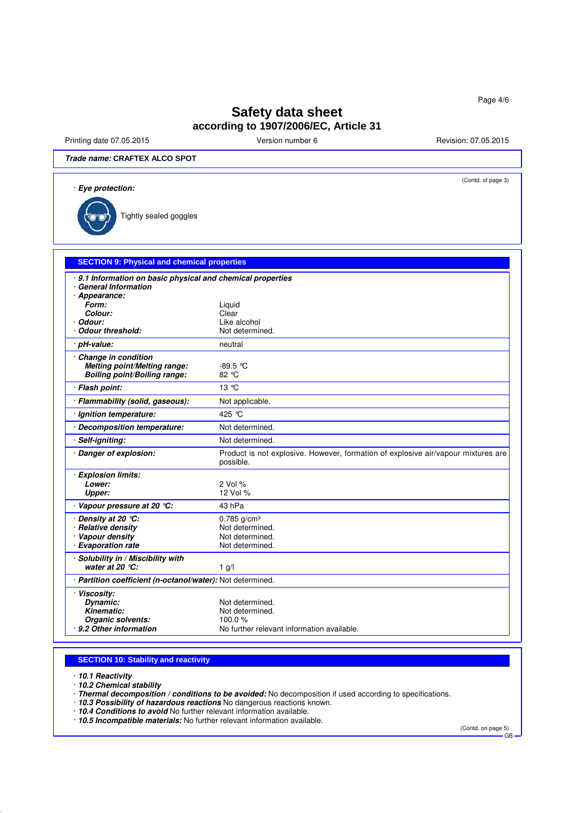Printing date 07.05.2015 **Version number 6** Newsley Revision: 07.05.2015

**Trade name: CRAFTEX ALCO SPOT**

| <i>Trade name:</i> CRAFIEX ALCO SPOT                                                              |                                                                                                |  |  |  |  |
|---------------------------------------------------------------------------------------------------|------------------------------------------------------------------------------------------------|--|--|--|--|
| (Contd. of page 3)<br>· Eye protection:                                                           |                                                                                                |  |  |  |  |
| Tightly sealed goggles                                                                            |                                                                                                |  |  |  |  |
|                                                                                                   |                                                                                                |  |  |  |  |
| <b>SECTION 9: Physical and chemical properties</b>                                                |                                                                                                |  |  |  |  |
| 9.1 Information on basic physical and chemical properties<br><b>General Information</b>           |                                                                                                |  |  |  |  |
| · Appearance:                                                                                     |                                                                                                |  |  |  |  |
| Form:                                                                                             | Liquid                                                                                         |  |  |  |  |
| Colour:                                                                                           | Clear                                                                                          |  |  |  |  |
| Odour:                                                                                            | Like alcohol                                                                                   |  |  |  |  |
| <b>Odour threshold:</b>                                                                           | Not determined.                                                                                |  |  |  |  |
| pH-value:                                                                                         | neutral                                                                                        |  |  |  |  |
| <b>Change in condition</b><br>Melting point/Melting range:<br><b>Boiling point/Boiling range:</b> | $-89.5$ °C<br>82 °C                                                                            |  |  |  |  |
| · Flash point:                                                                                    | 13 °C                                                                                          |  |  |  |  |
| · Flammability (solid, gaseous):                                                                  | Not applicable.                                                                                |  |  |  |  |
| · Ignition temperature:                                                                           | 425 °C                                                                                         |  |  |  |  |
| · Decomposition temperature:                                                                      | Not determined.                                                                                |  |  |  |  |
| Self-igniting:                                                                                    | Not determined.                                                                                |  |  |  |  |
| · Danger of explosion:                                                                            | Product is not explosive. However, formation of explosive air/vapour mixtures are<br>possible. |  |  |  |  |
| · Explosion limits:                                                                               |                                                                                                |  |  |  |  |
| Lower:                                                                                            | 2 Vol %                                                                                        |  |  |  |  |
| Upper:                                                                                            | 12 Vol %                                                                                       |  |  |  |  |
| · Vapour pressure at 20 °C:                                                                       | 43 hPa                                                                                         |  |  |  |  |
| · Density at 20 ℃:                                                                                | $0.785$ g/cm <sup>3</sup>                                                                      |  |  |  |  |
| <b>Relative density</b>                                                                           | Not determined.                                                                                |  |  |  |  |
| · Vapour density                                                                                  | Not determined.                                                                                |  |  |  |  |
| <b>Evaporation rate</b>                                                                           | Not determined.                                                                                |  |  |  |  |
| · Solubility in / Miscibility with<br>water at 20 $°C$ :                                          | $1$ g/l                                                                                        |  |  |  |  |
| · Partition coefficient (n-octanol/water): Not determined.                                        |                                                                                                |  |  |  |  |
| · Viscosity:                                                                                      |                                                                                                |  |  |  |  |
| Dynamic:                                                                                          | Not determined.                                                                                |  |  |  |  |
| Kinematic:                                                                                        | Not determined.                                                                                |  |  |  |  |
| Oragnic colvante:                                                                                 | 100 Q Q 1                                                                                      |  |  |  |  |

## **SECTION 10: Stability and reactivity**

· **10.1 Reactivity**

· **10.2 Chemical stability**

**9.2 Other information** 

· **Thermal decomposition / conditions to be avoided:** No decomposition if used according to specifications.

No further relevant information available.

· **10.3 Possibility of hazardous reactions** No dangerous reactions known.

· **10.4 Conditions to avoid** No further relevant information available.

· **10.5 Incompatible materials:** No further relevant information available.

(Contd. on page 5)

GB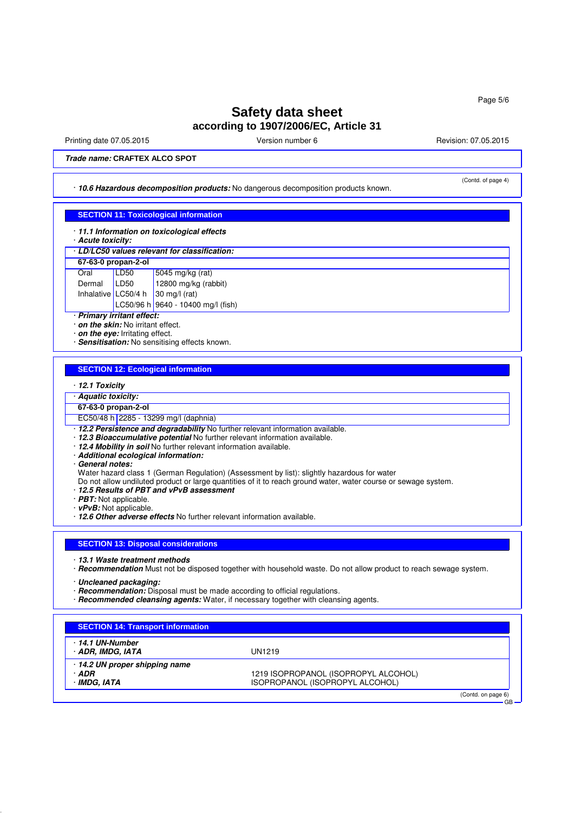Printing date 07.05.2015 **Principal and COVID-100** Version number 6 Revision: 07.05.2015

(Contd. of page 4)

GB

**Trade name: CRAFTEX ALCO SPOT**

· **10.6 Hazardous decomposition products:** No dangerous decomposition products known.

#### **SECTION 11: Toxicological information**

· **11.1 Information on toxicological effects**

· **Acute toxicity:**

| · LD/LC50 values relevant for classification: |          |                                          |  |  |  |
|-----------------------------------------------|----------|------------------------------------------|--|--|--|
| 67-63-0 propan-2-ol                           |          |                                          |  |  |  |
| Oral                                          | $I$ LD50 | 5045 mg/kg (rat)<br>12800 mg/kg (rabbit) |  |  |  |
| Dermal                                        | LD50     |                                          |  |  |  |
| Inhalative LC50/4 h                           |          | 30 mg/l (rat)                            |  |  |  |
|                                               |          | LC50/96 h 9640 - 10400 mg/l (fish)       |  |  |  |

· **Primary irritant effect:**

· **on the skin:** No irritant effect.

· **on the eye:** Irritating effect.

· **Sensitisation:** No sensitising effects known.

#### **SECTION 12: Ecological information**

· **12.1 Toxicity**

· **Aquatic toxicity:**

#### **67-63-0 propan-2-ol**

EC50/48 h 2285 - 13299 mg/l (daphnia)

- · **12.2 Persistence and degradability** No further relevant information available.
- · **12.3 Bioaccumulative potential** No further relevant information available.
- · **12.4 Mobility in soil** No further relevant information available.
- · **Additional ecological information:**
- · **General notes:**
- Water hazard class 1 (German Regulation) (Assessment by list): slightly hazardous for water
- Do not allow undiluted product or large quantities of it to reach ground water, water course or sewage system.
- · **12.5 Results of PBT and vPvB assessment**
- · **PBT:** Not applicable.

· **vPvB:** Not applicable.

· **12.6 Other adverse effects** No further relevant information available.

#### **SECTION 13: Disposal considerations**

- · **13.1 Waste treatment methods**
- · **Recommendation** Must not be disposed together with household waste. Do not allow product to reach sewage system.
- · **Uncleaned packaging:**
- · **Recommendation:** Disposal must be made according to official regulations.
- · **Recommended cleansing agents:** Water, if necessary together with cleansing agents.

| · 14.1 UN-Number             |                                      |  |
|------------------------------|--------------------------------------|--|
| · ADR, IMDG, IATA            | UN1219                               |  |
| 14.2 UN proper shipping name |                                      |  |
| · ADR                        | 1219 ISOPROPANOL (ISOPROPYL ALCOHOL) |  |
| · IMDG, IATA                 | ISOPROPANOL (ISOPROPYL ALCOHOL)      |  |